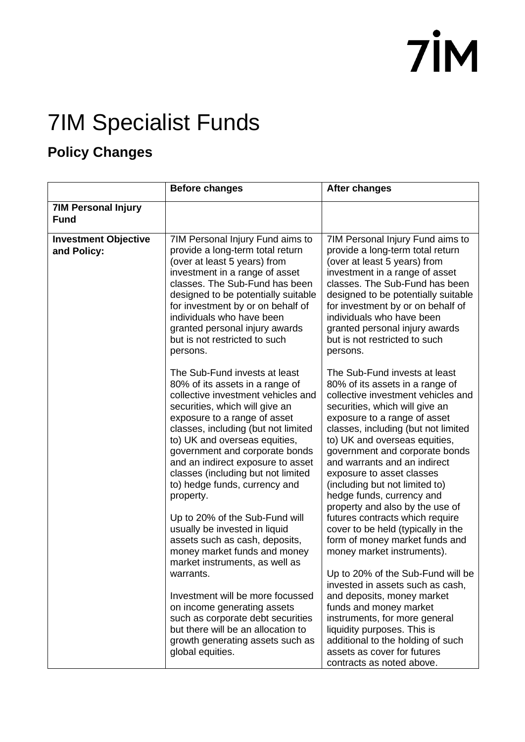## **7İM**

## 7IM Specialist Funds

## **Policy Changes**

|                                            | <b>Before changes</b>                                                                                                                                                                                                                                                                                                                                                                                                                                                          | <b>After changes</b>                                                                                                                                                                                                                                                                                                                                                                                                                                                                                                       |
|--------------------------------------------|--------------------------------------------------------------------------------------------------------------------------------------------------------------------------------------------------------------------------------------------------------------------------------------------------------------------------------------------------------------------------------------------------------------------------------------------------------------------------------|----------------------------------------------------------------------------------------------------------------------------------------------------------------------------------------------------------------------------------------------------------------------------------------------------------------------------------------------------------------------------------------------------------------------------------------------------------------------------------------------------------------------------|
| <b>7IM Personal Injury</b><br><b>Fund</b>  |                                                                                                                                                                                                                                                                                                                                                                                                                                                                                |                                                                                                                                                                                                                                                                                                                                                                                                                                                                                                                            |
| <b>Investment Objective</b><br>and Policy: | 7IM Personal Injury Fund aims to<br>provide a long-term total return<br>(over at least 5 years) from<br>investment in a range of asset<br>classes. The Sub-Fund has been<br>designed to be potentially suitable<br>for investment by or on behalf of<br>individuals who have been<br>granted personal injury awards<br>but is not restricted to such<br>persons.                                                                                                               | 7IM Personal Injury Fund aims to<br>provide a long-term total return<br>(over at least 5 years) from<br>investment in a range of asset<br>classes. The Sub-Fund has been<br>designed to be potentially suitable<br>for investment by or on behalf of<br>individuals who have been<br>granted personal injury awards<br>but is not restricted to such<br>persons.                                                                                                                                                           |
|                                            | The Sub-Fund invests at least<br>80% of its assets in a range of<br>collective investment vehicles and<br>securities, which will give an<br>exposure to a range of asset<br>classes, including (but not limited<br>to) UK and overseas equities,<br>government and corporate bonds<br>and an indirect exposure to asset<br>classes (including but not limited<br>to) hedge funds, currency and<br>property.<br>Up to 20% of the Sub-Fund will<br>usually be invested in liquid | The Sub-Fund invests at least<br>80% of its assets in a range of<br>collective investment vehicles and<br>securities, which will give an<br>exposure to a range of asset<br>classes, including (but not limited<br>to) UK and overseas equities,<br>government and corporate bonds<br>and warrants and an indirect<br>exposure to asset classes<br>(including but not limited to)<br>hedge funds, currency and<br>property and also by the use of<br>futures contracts which require<br>cover to be held (typically in the |
|                                            | assets such as cash, deposits,<br>money market funds and money<br>market instruments, as well as<br>warrants.                                                                                                                                                                                                                                                                                                                                                                  | form of money market funds and<br>money market instruments).<br>Up to 20% of the Sub-Fund will be<br>invested in assets such as cash,                                                                                                                                                                                                                                                                                                                                                                                      |
|                                            | Investment will be more focussed<br>on income generating assets<br>such as corporate debt securities<br>but there will be an allocation to<br>growth generating assets such as<br>global equities.                                                                                                                                                                                                                                                                             | and deposits, money market<br>funds and money market<br>instruments, for more general<br>liquidity purposes. This is<br>additional to the holding of such<br>assets as cover for futures<br>contracts as noted above.                                                                                                                                                                                                                                                                                                      |